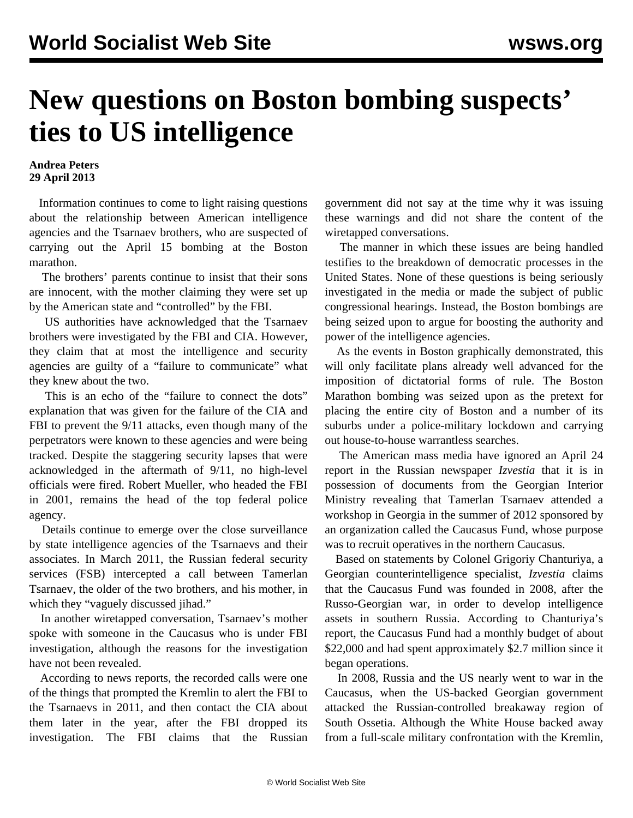## **New questions on Boston bombing suspects' ties to US intelligence**

## **Andrea Peters 29 April 2013**

 Information continues to come to light raising questions about the relationship between American intelligence agencies and the Tsarnaev brothers, who are suspected of carrying out the April 15 bombing at the Boston marathon.

 The brothers' parents continue to insist that their sons are innocent, with the mother claiming they were set up by the American state and "controlled" by the FBI.

 US authorities have acknowledged that the Tsarnaev brothers were investigated by the FBI and CIA. However, they claim that at most the intelligence and security agencies are guilty of a "failure to communicate" what they knew about the two.

 This is an echo of the "failure to connect the dots" explanation that was given for the failure of the CIA and FBI to prevent the 9/11 attacks, even though many of the perpetrators were known to these agencies and were being tracked. Despite the staggering security lapses that were acknowledged in the aftermath of 9/11, no high-level officials were fired. Robert Mueller, who headed the FBI in 2001, remains the head of the top federal police agency.

 Details continue to emerge over the close surveillance by state intelligence agencies of the Tsarnaevs and their associates. In March 2011, the Russian federal security services (FSB) intercepted a call between Tamerlan Tsarnaev, the older of the two brothers, and his mother, in which they "vaguely discussed jihad."

 In another wiretapped conversation, Tsarnaev's mother spoke with someone in the Caucasus who is under FBI investigation, although the reasons for the investigation have not been revealed.

 According to news reports, the recorded calls were one of the things that prompted the Kremlin to alert the FBI to the Tsarnaevs in 2011, and then contact the CIA about them later in the year, after the FBI dropped its investigation. The FBI claims that the Russian government did not say at the time why it was issuing these warnings and did not share the content of the wiretapped conversations.

 The manner in which these issues are being handled testifies to the breakdown of democratic processes in the United States. None of these questions is being seriously investigated in the media or made the subject of public congressional hearings. Instead, the Boston bombings are being seized upon to argue for boosting the authority and power of the intelligence agencies.

 As the events in Boston graphically demonstrated, this will only facilitate plans already well advanced for the imposition of dictatorial forms of rule. The Boston Marathon bombing was seized upon as the pretext for placing the entire city of Boston and a number of its suburbs under a police-military lockdown and carrying out house-to-house warrantless searches.

 The American mass media have ignored an April 24 report in the Russian newspaper *Izvestia* that it is in possession of documents from the Georgian Interior Ministry revealing that Tamerlan Tsarnaev attended a workshop in Georgia in the summer of 2012 sponsored by an organization called the Caucasus Fund, whose purpose was to recruit operatives in the northern Caucasus.

 Based on statements by Colonel Grigoriy Chanturiya, a Georgian counterintelligence specialist, *Izvestia* claims that the Caucasus Fund was founded in 2008, after the Russo-Georgian war, in order to develop intelligence assets in southern Russia. According to Chanturiya's report, the Caucasus Fund had a monthly budget of about \$22,000 and had spent approximately \$2.7 million since it began operations.

 In 2008, Russia and the US nearly went to war in the Caucasus, when the US-backed Georgian government attacked the Russian-controlled breakaway region of South Ossetia. Although the White House backed away from a full-scale military confrontation with the Kremlin,